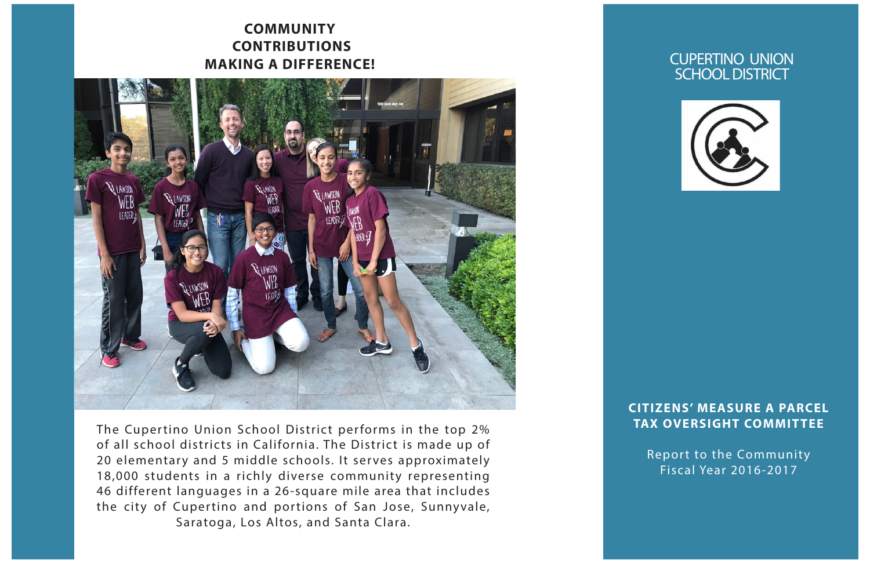## **COMMUNITY CONTRIBUTIONS MAKING A DIFFERENCE!**



The Cupertino Union School District performs in the top 2% of all school districts in California. The District is made up of 20 elementary and 5 middle schools. It serves approximately 18,000 students in a richly diverse community representing 46 different languages in a 26-square mile area that includes the city of Cupertino and portions of San Jose, Sunnyvale, Saratoga, Los Altos, and Santa Clara.

#### CUPERTINO UNION SCHOOL DISTRICT



#### **CITIZENS' MEASURE A PARCEL TAX OVERSIGHT COMMITTEE**

Report to the Community Fiscal Year 2016-2017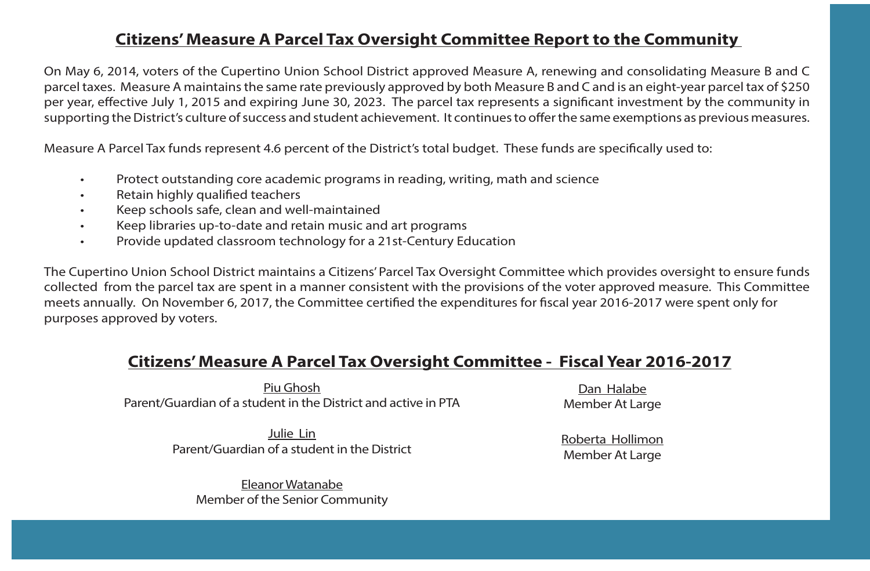## **Citizens' Measure A Parcel Tax Oversight Committee Report to the Community**

On May 6, 2014, voters of the Cupertino Union School District approved Measure A, renewing and consolidating Measure B and C parcel taxes. Measure A maintains the same rate previously approved by both Measure B and C and is an eight-year parcel tax of \$250 per year, effective July 1, 2015 and expiring June 30, 2023. The parcel tax represents a significant investment by the community in supporting the District's culture of success and student achievement. It continues to offer the same exemptions as previous measures.

Measure A Parcel Tax funds represent 4.6 percent of the District's total budget. These funds are specifically used to:

- Protect outstanding core academic programs in reading, writing, math and science
- Retain highly qualified teachers
- Keep schools safe, clean and well-maintained
- Keep libraries up-to-date and retain music and art programs
- Provide updated classroom technology for a 21st-Century Education

The Cupertino Union School District maintains a Citizens' Parcel Tax Oversight Committee which provides oversight to ensure funds collected from the parcel tax are spent in a manner consistent with the provisions of the voter approved measure. This Committee meets annually. On November 6, 2017, the Committee certified the expenditures for fiscal year 2016-2017 were spent only for purposes approved by voters.

# **Citizens' Measure A Parcel Tax Oversight Committee - Fiscal Year 2016-2017**

Piu Ghosh Parent/Guardian of a student in the District and active in PTA

> Julie Lin Parent/Guardian of a student in the District

Eleanor Watanabe Member of the Senior Community

Dan Halabe Member At Large

Roberta Hollimon Member At Large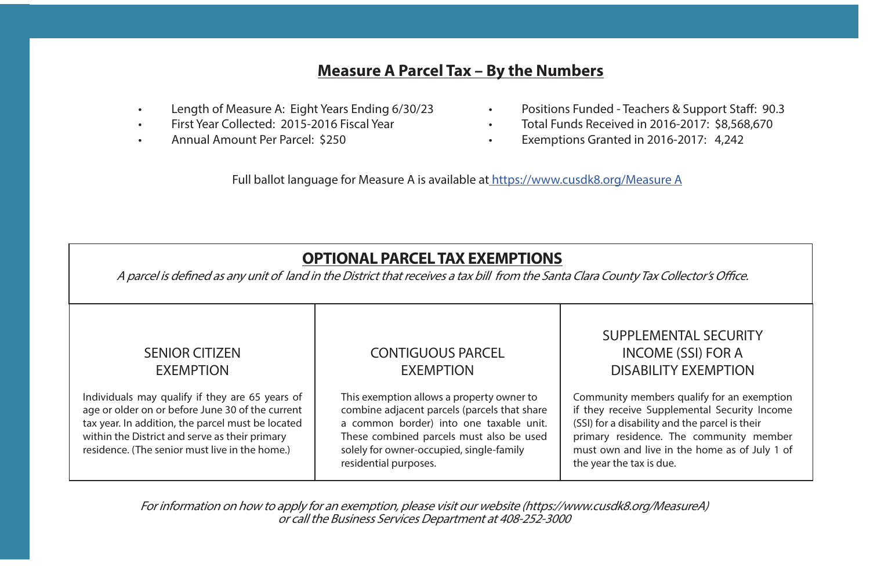# **Measure A Parcel Tax – By the Numbers**

- Length of Measure A: Eight Years Ending 6/30/23
- First Year Collected: 2015-2016 Fiscal Year
- Annual Amount Per Parcel: \$250
- Positions Funded Teachers & Support Staff: 90.3
- Total Funds Received in 2016-2017: \$8,568,670
- Exemptions Granted in 2016-2017: 4,242

Full ballot language for Measure A is available at https://www.cusdk8.org/Measure A

# **OPTIONAL PARCEL TAX EXEMPTIONS**

A parcel is defined as any unit of land in the District that receives a tax bill from the Santa Clara County Tax Collector's Office.

#### SENIOR CITIZEN EXEMPTION

Individuals may qualify if they are 65 years of age or older on or before June 30 of the current tax year. In addition, the parcel must be located within the District and serve as their primary residence. (The senior must live in the home.)

#### CONTIGUOUS PARCEL EXEMPTION

This exemption allows a property owner to combine adjacent parcels (parcels that share a common border) into one taxable unit. These combined parcels must also be used solely for owner-occupied, single-family residential purposes.

## SUPPLEMENTAL SECURITY INCOME (SSI) FOR A DISABILITY EXEMPTION

Community members qualify for an exemption if they receive Supplemental Security Income (SSI) for a disability and the parcel is their primary residence. The community member must own and live in the home as of July 1 of the year the tax is due.

For information on how to apply for an exemption, please visit our website (https://www.cusdk8.org/MeasureA) or call the Business Services Department at 408-252-3000